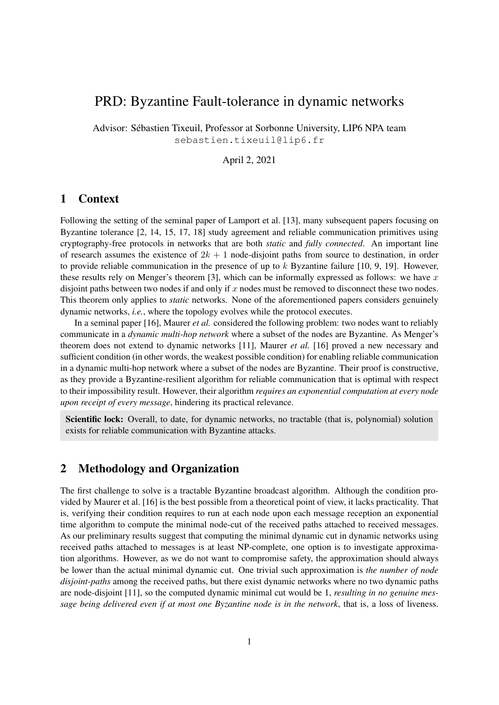# PRD: Byzantine Fault-tolerance in dynamic networks

Advisor: Sebastien Tixeuil, Professor at Sorbonne University, LIP6 NPA team ´ sebastien.tixeuil@lip6.fr

April 2, 2021

## 1 Context

Following the setting of the seminal paper of Lamport et al. [13], many subsequent papers focusing on Byzantine tolerance [2, 14, 15, 17, 18] study agreement and reliable communication primitives using cryptography-free protocols in networks that are both *static* and *fully connected*. An important line of research assumes the existence of  $2k + 1$  node-disjoint paths from source to destination, in order to provide reliable communication in the presence of up to  $k$  Byzantine failure [10, 9, 19]. However, these results rely on Menger's theorem [3], which can be informally expressed as follows: we have  $x$ disjoint paths between two nodes if and only if  $x$  nodes must be removed to disconnect these two nodes. This theorem only applies to *static* networks. None of the aforementioned papers considers genuinely dynamic networks, *i.e.*, where the topology evolves while the protocol executes.

In a seminal paper [16], Maurer *et al.* considered the following problem: two nodes want to reliably communicate in a *dynamic multi-hop network* where a subset of the nodes are Byzantine. As Menger's theorem does not extend to dynamic networks [11], Maurer *et al.* [16] proved a new necessary and sufficient condition (in other words, the weakest possible condition) for enabling reliable communication in a dynamic multi-hop network where a subset of the nodes are Byzantine. Their proof is constructive, as they provide a Byzantine-resilient algorithm for reliable communication that is optimal with respect to their impossibility result. However, their algorithm *requires an exponential computation at every node upon receipt of every message*, hindering its practical relevance.

Scientific lock: Overall, to date, for dynamic networks, no tractable (that is, polynomial) solution exists for reliable communication with Byzantine attacks.

# 2 Methodology and Organization

The first challenge to solve is a tractable Byzantine broadcast algorithm. Although the condition provided by Maurer et al. [16] is the best possible from a theoretical point of view, it lacks practicality. That is, verifying their condition requires to run at each node upon each message reception an exponential time algorithm to compute the minimal node-cut of the received paths attached to received messages. As our preliminary results suggest that computing the minimal dynamic cut in dynamic networks using received paths attached to messages is at least NP-complete, one option is to investigate approximation algorithms. However, as we do not want to compromise safety, the approximation should always be lower than the actual minimal dynamic cut. One trivial such approximation is *the number of node disjoint-paths* among the received paths, but there exist dynamic networks where no two dynamic paths are node-disjoint [11], so the computed dynamic minimal cut would be 1, *resulting in no genuine message being delivered even if at most one Byzantine node is in the network*, that is, a loss of liveness.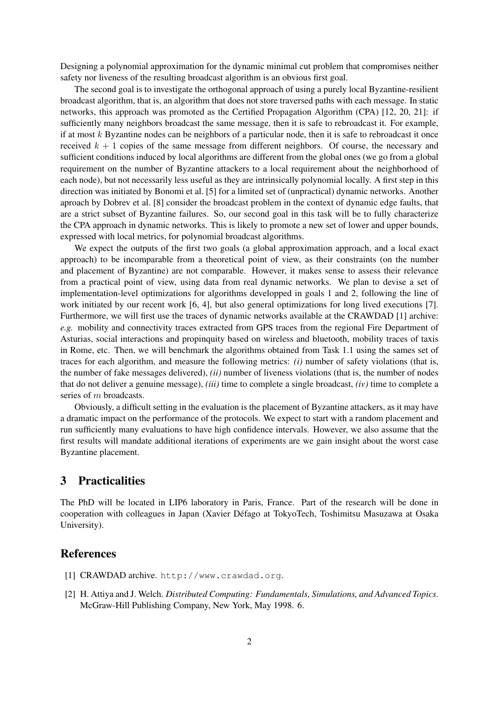Designing a polynomial approximation for the dynamic minimal cut problem that compromises neither safety nor liveness of the resulting broadcast algorithm is an obvious first goal.

The second goal is to investigate the orthogonal approach of using a purely local Byzantine-resilient broadcast algorithm, that is, an algorithm that does not store traversed paths with each message. In static networks, this approach was promoted as the Certified Propagation Algorithm (CPA) [12, 20, 21]: if sufficiently many neighbors broadcast the same message, then it is safe to rebroadcast it. For example, if at most  $k$  Byzantine nodes can be neighbors of a particular node, then it is safe to rebroadcast it once received  $k + 1$  copies of the same message from different neighbors. Of course, the necessary and sufficient conditions induced by local algorithms are different from the global ones (we go from a global requirement on the number of Byzantine attackers to a local requirement about the neighborhood of each node), but not necessarily less useful as they are intrinsically polynomial locally. A first step in this direction was initiated by Bonomi et al. [5] for a limited set of (unpractical) dynamic networks. Another aproach by Dobrev et al. [8] consider the broadcast problem in the context of dynamic edge faults, that are a strict subset of Byzantine failures. So, our second goal in this task will be to fully characterize the CPA approach in dynamic networks. This is likely to promote a new set of lower and upper bounds, expressed with local metrics, for polynomial broadcast algorithms.

We expect the outputs of the first two goals (a global approximation approach, and a local exact approach) to be incomparable from a theoretical point of view, as their constraints (on the number and placement of Byzantine) are not comparable. However, it makes sense to assess their relevance from a practical point of view, using data from real dynamic networks. We plan to devise a set of implementation-level optimizations for algorithms developped in goals 1 and 2, following the line of work initiated by our recent work [6, 4], but also general optimizations for long lived executions [7]. Furthermore, we will first use the traces of dynamic networks available at the CRAWDAD [1] archive: *e.g.* mobility and connectivity traces extracted from GPS traces from the regional Fire Department of Asturias, social interactions and propinquity based on wireless and bluetooth, mobility traces of taxis in Rome, etc. Then, we will benchmark the algorithms obtained from Task 1.1 using the sames set of traces for each algorithm, and measure the following metrics: *(i)* number of safety violations (that is, the number of fake messages delivered), *(ii)* number of liveness violations (that is, the number of nodes that do not deliver a genuine message), *(iii)* time to complete a single broadcast, *(iv)* time to complete a series of m broadcasts.

Obviously, a difficult setting in the evaluation is the placement of Byzantine attackers, as it may have a dramatic impact on the performance of the protocols. We expect to start with a random placement and run sufficiently many evaluations to have high confidence intervals. However, we also assume that the first results will mandate additional iterations of experiments are we gain insight about the worst case Byzantine placement.

## 3 Practicalities

The PhD will be located in LIP6 laboratory in Paris, France. Part of the research will be done in cooperation with colleagues in Japan (Xavier Defago at TokyoTech, Toshimitsu Masuzawa at Osaka ´ University).

#### References

- [1] CRAWDAD archive. http://www.crawdad.org.
- [2] H. Attiya and J. Welch. *Distributed Computing: Fundamentals, Simulations, and Advanced Topics*. McGraw-Hill Publishing Company, New York, May 1998. 6.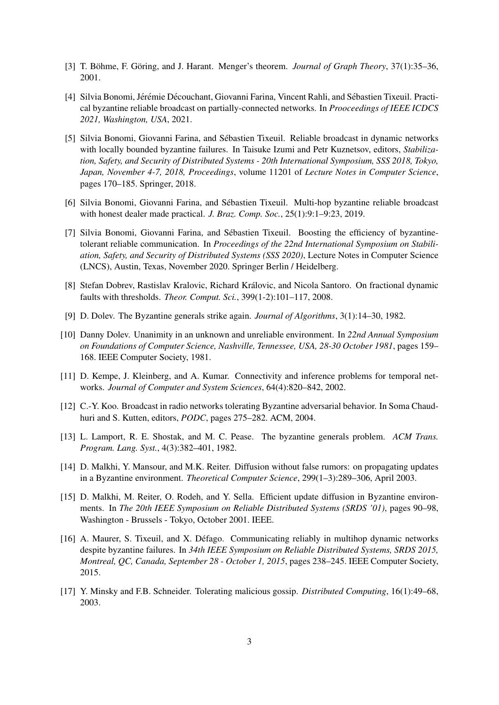- [3] T. Böhme, F. Göring, and J. Harant. Menger's theorem. *Journal of Graph Theory*, 37(1):35–36, 2001.
- [4] Silvia Bonomi, Jérémie Découchant, Giovanni Farina, Vincent Rahli, and Sébastien Tixeuil. Practical byzantine reliable broadcast on partially-connected networks. In *Prooceedings of IEEE ICDCS 2021, Washington, USA*, 2021.
- [5] Silvia Bonomi, Giovanni Farina, and Sebastien Tixeuil. Reliable broadcast in dynamic networks ´ with locally bounded byzantine failures. In Taisuke Izumi and Petr Kuznetsov, editors, *Stabilization, Safety, and Security of Distributed Systems - 20th International Symposium, SSS 2018, Tokyo, Japan, November 4-7, 2018, Proceedings*, volume 11201 of *Lecture Notes in Computer Science*, pages 170–185. Springer, 2018.
- [6] Silvia Bonomi, Giovanni Farina, and Sebastien Tixeuil. Multi-hop byzantine reliable broadcast ´ with honest dealer made practical. *J. Braz. Comp. Soc.*, 25(1):9:1–9:23, 2019.
- [7] Silvia Bonomi, Giovanni Farina, and Sebastien Tixeuil. Boosting the efficiency of byzantine- ´ tolerant reliable communication. In *Proceedings of the 22nd International Symposium on Stabiliation, Safety, and Security of Distributed Systems (SSS 2020)*, Lecture Notes in Computer Science (LNCS), Austin, Texas, November 2020. Springer Berlin / Heidelberg.
- [8] Stefan Dobrev, Rastislav Kralovic, Richard Královic, and Nicola Santoro. On fractional dynamic faults with thresholds. *Theor. Comput. Sci.*, 399(1-2):101–117, 2008.
- [9] D. Dolev. The Byzantine generals strike again. *Journal of Algorithms*, 3(1):14–30, 1982.
- [10] Danny Dolev. Unanimity in an unknown and unreliable environment. In *22nd Annual Symposium on Foundations of Computer Science, Nashville, Tennessee, USA, 28-30 October 1981*, pages 159– 168. IEEE Computer Society, 1981.
- [11] D. Kempe, J. Kleinberg, and A. Kumar. Connectivity and inference problems for temporal networks. *Journal of Computer and System Sciences*, 64(4):820–842, 2002.
- [12] C.-Y. Koo. Broadcast in radio networks tolerating Byzantine adversarial behavior. In Soma Chaudhuri and S. Kutten, editors, *PODC*, pages 275–282. ACM, 2004.
- [13] L. Lamport, R. E. Shostak, and M. C. Pease. The byzantine generals problem. *ACM Trans. Program. Lang. Syst.*, 4(3):382–401, 1982.
- [14] D. Malkhi, Y. Mansour, and M.K. Reiter. Diffusion without false rumors: on propagating updates in a Byzantine environment. *Theoretical Computer Science*, 299(1–3):289–306, April 2003.
- [15] D. Malkhi, M. Reiter, O. Rodeh, and Y. Sella. Efficient update diffusion in Byzantine environments. In *The 20th IEEE Symposium on Reliable Distributed Systems (SRDS '01)*, pages 90–98, Washington - Brussels - Tokyo, October 2001. IEEE.
- [16] A. Maurer, S. Tixeuil, and X. Defago. Communicating reliably in multihop dynamic networks ´ despite byzantine failures. In *34th IEEE Symposium on Reliable Distributed Systems, SRDS 2015, Montreal, QC, Canada, September 28 - October 1, 2015*, pages 238–245. IEEE Computer Society, 2015.
- [17] Y. Minsky and F.B. Schneider. Tolerating malicious gossip. *Distributed Computing*, 16(1):49–68, 2003.